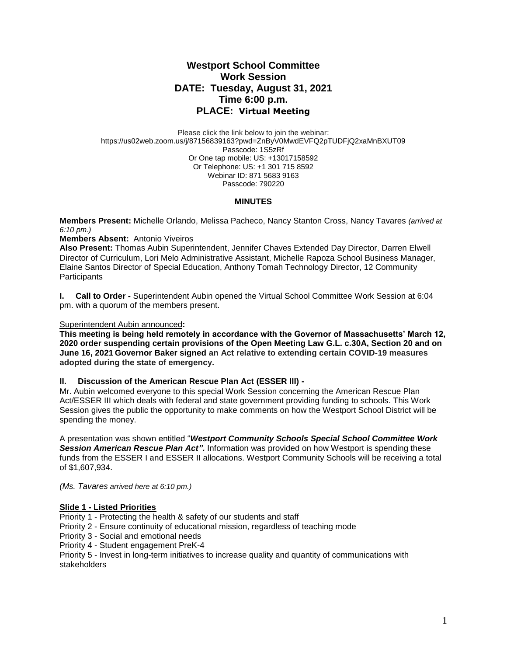# **Westport School Committee Work Session DATE: Tuesday, August 31, 2021 Time 6:00 p.m. PLACE: Virtual Meeting**

Please click the link below to join the webinar: https://us02web.zoom.us/j/87156839163?pwd=ZnByV0MwdEVFQ2pTUDFjQ2xaMnBXUT09 Passcode: 1S5zRf Or One tap mobile: US: +13017158592 Or Telephone: US: +1 301 715 8592 Webinar ID: 871 5683 9163 Passcode: 790220

#### **MINUTES**

**Members Present:** Michelle Orlando, Melissa Pacheco, Nancy Stanton Cross, Nancy Tavares *(arrived at 6:10 pm.)*

## **Members Absent:** Antonio Viveiros

**Also Present:** Thomas Aubin Superintendent, Jennifer Chaves Extended Day Director, Darren Elwell Director of Curriculum, Lori Melo Administrative Assistant, Michelle Rapoza School Business Manager, Elaine Santos Director of Special Education, Anthony Tomah Technology Director, 12 Community **Participants** 

**I. Call to Order -** Superintendent Aubin opened the Virtual School Committee Work Session at 6:04 pm. with a quorum of the members present.

### Superintendent Aubin announced**:**

**This meeting is being held remotely in accordance with the Governor of Massachusetts' March 12, 2020 order suspending certain provisions of the Open Meeting Law G.L. c.30A, Section 20 and on June 16, 2021 Governor Baker signed an Act relative to extending certain COVID-19 measures adopted during the state of emergency.**

#### **II. Discussion of the American Rescue Plan Act (ESSER III) -**

Mr. Aubin welcomed everyone to this special Work Session concerning the American Rescue Plan Act/ESSER III which deals with federal and state government providing funding to schools. This Work Session gives the public the opportunity to make comments on how the Westport School District will be spending the money.

A presentation was shown entitled "*Westport Community Schools Special School Committee Work*  **Session American Rescue Plan Act".** Information was provided on how Westport is spending these funds from the ESSER I and ESSER II allocations. Westport Community Schools will be receiving a total of \$1,607,934.

*(Ms. Tavares arrived here at 6:10 pm.)*

# **Slide 1 - Listed Priorities**

Priority 1 - Protecting the health & safety of our students and staff

Priority 2 - Ensure continuity of educational mission, regardless of teaching mode

Priority 3 - Social and emotional needs

Priority 4 - Student engagement PreK-4

Priority 5 - Invest in long-term initiatives to increase quality and quantity of communications with stakeholders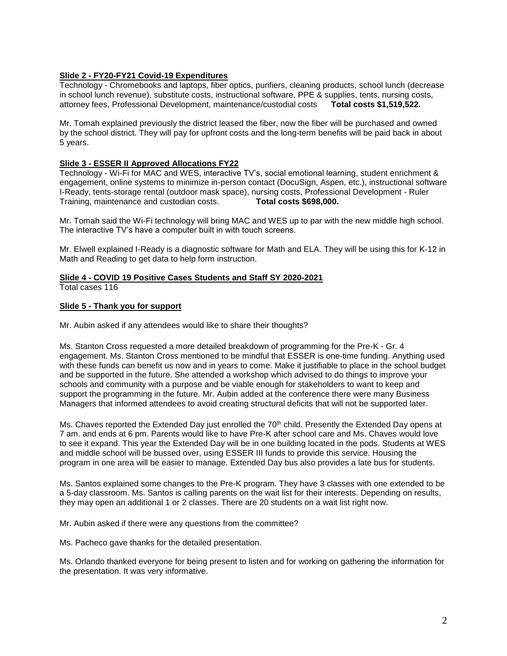## **Slide 2 - FY20-FY21 Covid-19 Expenditures**

Technology - Chromebooks and laptops, fiber optics, purifiers, cleaning products, school lunch (decrease in school lunch revenue), substitute costs, instructional software, PPE & supplies, tents, nursing costs, attorney fees, Professional Development, maintenance/custodial costs **Total costs \$1,519,522.**

Mr. Tomah explained previously the district leased the fiber, now the fiber will be purchased and owned by the school district. They will pay for upfront costs and the long-term benefits will be paid back in about 5 years.

## **Slide 3 - ESSER II Approved Allocations FY22**

Technology - Wi-Fi for MAC and WES, interactive TV's, social emotional learning, student enrichment & engagement, online systems to minimize in-person contact (DocuSign, Aspen, etc.), instructional software I-Ready, tents-storage rental (outdoor mask space), nursing costs, Professional Development - Ruler Training, maintenance and custodian costs. **Total costs \$698,000.**

Mr. Tomah said the Wi-Fi technology will bring MAC and WES up to par with the new middle high school. The interactive TV's have a computer built in with touch screens.

Mr. Elwell explained I-Ready is a diagnostic software for Math and ELA. They will be using this for K-12 in Math and Reading to get data to help form instruction.

# **Slide 4 - COVID 19 Positive Cases Students and Staff SY 2020-2021**

Total cases 116

## **Slide 5 - Thank you for support**

Mr. Aubin asked if any attendees would like to share their thoughts?

Ms. Stanton Cross requested a more detailed breakdown of programming for the Pre-K - Gr. 4 engagement. Ms. Stanton Cross mentioned to be mindful that ESSER is one-time funding. Anything used with these funds can benefit us now and in years to come. Make it justifiable to place in the school budget and be supported in the future. She attended a workshop which advised to do things to improve your schools and community with a purpose and be viable enough for stakeholders to want to keep and support the programming in the future. Mr. Aubin added at the conference there were many Business Managers that informed attendees to avoid creating structural deficits that will not be supported later.

Ms. Chaves reported the Extended Day just enrolled the 70<sup>th</sup> child. Presently the Extended Day opens at 7 am. and ends at 6 pm. Parents would like to have Pre-K after school care and Ms. Chaves would love to see it expand. This year the Extended Day will be in one building located in the pods. Students at WES and middle school will be bussed over, using ESSER III funds to provide this service. Housing the program in one area will be easier to manage. Extended Day bus also provides a late bus for students.

Ms. Santos explained some changes to the Pre-K program. They have 3 classes with one extended to be a 5-day classroom. Ms. Santos is calling parents on the wait list for their interests. Depending on results, they may open an additional 1 or 2 classes. There are 20 students on a wait list right now.

Mr. Aubin asked if there were any questions from the committee?

Ms. Pacheco gave thanks for the detailed presentation.

Ms. Orlando thanked everyone for being present to listen and for working on gathering the information for the presentation. It was very informative.